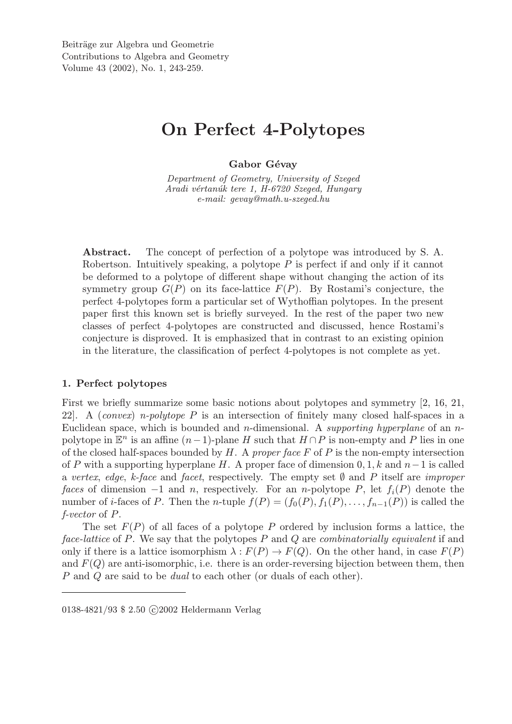# On Perfect 4-Polytopes

# Gabor Gévay

*Department of Geometry, University of Szeged Aradi v´ertan´uk tere 1, H-6720 Szeged, Hungary e-mail: gevay@math.u-szeged.hu*

Abstract. The concept of perfection of a polytope was introduced by S. A. Robertson. Intuitively speaking, a polytope P is perfect if and only if it cannot be deformed to a polytope of different shape without changing the action of its symmetry group  $G(P)$  on its face-lattice  $F(P)$ . By Rostami's conjecture, the perfect 4-polytopes form a particular set of Wythoffian polytopes. In the present paper first this known set is briefly surveyed. In the rest of the paper two new classes of perfect 4-polytopes are constructed and discussed, hence Rostami's conjecture is disproved. It is emphasized that in contrast to an existing opinion in the literature, the classification of perfect 4-polytopes is not complete as yet.

# 1. Perfect polytopes

First we briefly summarize some basic notions about polytopes and symmetry [2, 16, 21, 22]. A (*convex*) *n-polytope* P is an intersection of finitely many closed half-spaces in a Euclidean space, which is bounded and n-dimensional. A *supporting hyperplane* of an npolytope in  $\mathbb{E}^n$  is an affine  $(n-1)$ -plane H such that  $H \cap P$  is non-empty and P lies in one of the closed half-spaces bounded by H. A *proper face* F of P is the non-empty intersection of P with a supporting hyperplane H. A proper face of dimension  $0, 1, k$  and  $n-1$  is called a *vertex*, *edge*, *k-face* and *facet*, respectively. The empty set ∅ and P itself are *improper faces* of dimension  $-1$  and n, respectively. For an n-polytope P, let  $f_i(P)$  denote the number of *i*-faces of P. Then the n-tuple  $f(P) = (f_0(P), f_1(P), \ldots, f_{n-1}(P))$  is called the *f-vector* of P.

The set  $F(P)$  of all faces of a polytope P ordered by inclusion forms a lattice, the *face-lattice* of P. We say that the polytopes P and Q are *combinatorially equivalent* if and only if there is a lattice isomorphism  $\lambda : F(P) \to F(Q)$ . On the other hand, in case  $F(P)$ and  $F(Q)$  are anti-isomorphic, i.e. there is an order-reversing bijection between them, then P and Q are said to be *dual* to each other (or duals of each other).

<sup>0138-4821/93 \$ 2.50</sup> C 2002 Heldermann Verlag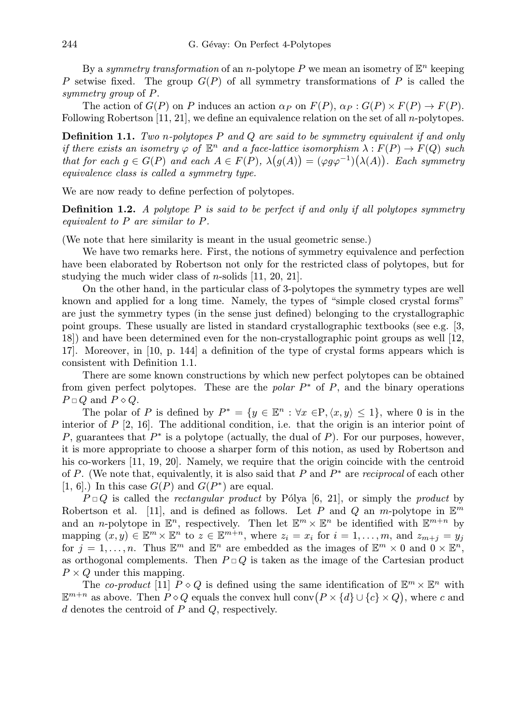By a *symmetry transformation* of an *n*-polytope  $P$  we mean an isometry of  $\mathbb{E}^n$  keeping P setwise fixed. The group  $G(P)$  of all symmetry transformations of P is called the *symmetry group* of P.

The action of  $G(P)$  on P induces an action  $\alpha_P$  on  $F(P)$ ,  $\alpha_P : G(P) \times F(P) \to F(P)$ . Following Robertson [11, 21], we define an equivalence relation on the set of all *n*-polytopes.

Definition 1.1. *Two* n*-polytopes* P *and* Q *are said to be symmetry equivalent if and only if there exists an isometry*  $\varphi$  *of*  $\mathbb{E}^n$  *and a face-lattice isomorphism*  $\lambda : F(P) \to F(Q)$  *such that for each*  $g \in G(P)$  *and each*  $A \in F(P)$ ,  $\lambda(g(A)) = (\varphi g \varphi^{-1})(\lambda(A))$ . Each symmetry *equivalence class is called a symmetry type.*

We are now ready to define perfection of polytopes.

Definition 1.2. *A polytope* P *is said to be perfect if and only if all polytopes symmetry equivalent to* P *are similar to* P*.*

(We note that here similarity is meant in the usual geometric sense.)

We have two remarks here. First, the notions of symmetry equivalence and perfection have been elaborated by Robertson not only for the restricted class of polytopes, but for studying the much wider class of n-solids [11, 20, 21].

On the other hand, in the particular class of 3-polytopes the symmetry types are well known and applied for a long time. Namely, the types of "simple closed crystal forms" are just the symmetry types (in the sense just defined) belonging to the crystallographic point groups. These usually are listed in standard crystallographic textbooks (see e.g. [3, 18]) and have been determined even for the non-crystallographic point groups as well [12, 17]. Moreover, in [10, p. 144] a definition of the type of crystal forms appears which is consistent with Definition 1.1.

There are some known constructions by which new perfect polytopes can be obtained from given perfect polytopes. These are the *polar*  $P^*$  of  $P$ , and the binary operations  $P \square Q$  and  $P \diamond Q$ .

The polar of P is defined by  $P^* = \{y \in \mathbb{E}^n : \forall x \in P, \langle x, y \rangle \leq 1\}$ , where 0 is in the interior of  $P$  [2, 16]. The additional condition, i.e. that the origin is an interior point of P, guarantees that  $P^*$  is a polytope (actually, the dual of P). For our purposes, however, it is more appropriate to choose a sharper form of this notion, as used by Robertson and his co-workers [11, 19, 20]. Namely, we require that the origin coincide with the centroid of P. (We note that, equivalently, it is also said that P and  $P^*$  are *reciprocal* of each other [1, 6].) In this case  $G(P)$  and  $G(P^*)$  are equal.

 $P \Box Q$  is called the *rectangular product* by Pólya [6, 21], or simply the *product* by Robertson et al. [11], and is defined as follows. Let P and Q an m-polytope in  $\mathbb{E}^m$ and an *n*-polytope in  $\mathbb{E}^n$ , respectively. Then let  $\mathbb{E}^m \times \mathbb{E}^n$  be identified with  $\mathbb{E}^{m+n}$  by mapping  $(x, y) \in \mathbb{E}^m \times \mathbb{E}^n$  to  $z \in \mathbb{E}^{m+n}$ , where  $z_i = x_i$  for  $i = 1, \ldots, m$ , and  $z_{m+j} = y_j$ for  $j = 1, \ldots, n$ . Thus  $\mathbb{E}^m$  and  $\mathbb{E}^n$  are embedded as the images of  $\mathbb{E}^m \times 0$  and  $0 \times \mathbb{E}^n$ , as orthogonal complements. Then  $P \Box Q$  is taken as the image of the Cartesian product  $P \times Q$  under this mapping.

The *co-product* [11]  $P \diamond Q$  is defined using the same identification of  $\mathbb{E}^m \times \mathbb{E}^n$  with The co-product [11]  $P \diamond Q$  is defined using the same identification of  $\mathbb{E}^m \times \mathbb{E}^m$  with  $\mathbb{E}^{m+n}$  as above. Then  $P \diamond Q$  equals the convex hull conv $(P \times \{d\} \cup \{c\} \times Q)$ , where c and  $d$  denotes the centroid of  $P$  and  $Q$ , respectively.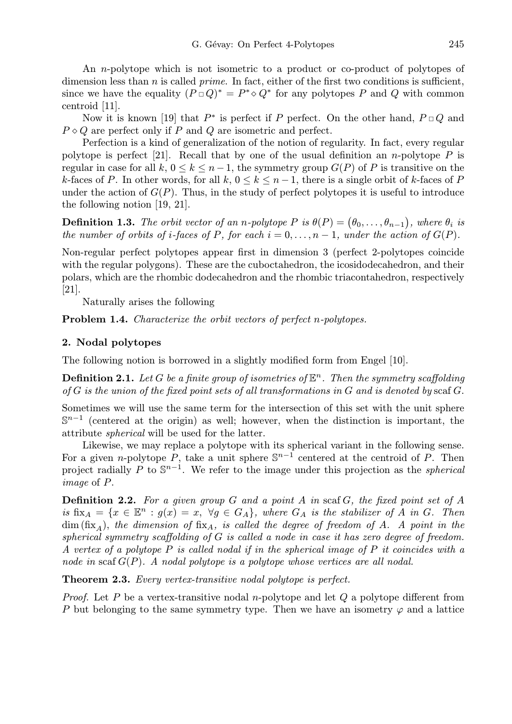An n-polytope which is not isometric to a product or co-product of polytopes of dimension less than n is called *prime*. In fact, either of the first two conditions is sufficient, since we have the equality  $(P \Box Q)^* = P^* \diamond Q^*$  for any polytopes P and Q with common centroid [11].

Now it is known [19] that  $P^*$  is perfect if P perfect. On the other hand,  $P \Box Q$  and  $P \diamond Q$  are perfect only if P and Q are isometric and perfect.

Perfection is a kind of generalization of the notion of regularity. In fact, every regular polytope is perfect [21]. Recall that by one of the usual definition an n-polytope P is regular in case for all k,  $0 \le k \le n-1$ , the symmetry group  $G(P)$  of P is transitive on the k-faces of P. In other words, for all  $k, 0 \le k \le n-1$ , there is a single orbit of k-faces of P under the action of  $G(P)$ . Thus, in the study of perfect polytopes it is useful to introduce the following notion [19, 21].

**Definition 1.3.** *The orbit vector of an n-polytope*  $P$  *is*  $\theta(P) = (\theta_0, \ldots, \theta_{n-1})$  $\ddot{\phantom{0}}$ *f*, where  $\theta_i$  is *the number of orbits of i-faces of* P, for each  $i = 0, \ldots, n - 1$ , under the action of  $G(P)$ .

Non-regular perfect polytopes appear first in dimension 3 (perfect 2-polytopes coincide with the regular polygons). These are the cuboctahedron, the icosidodecahedron, and their polars, which are the rhombic dodecahedron and the rhombic triacontahedron, respectively [21].

Naturally arises the following

Problem 1.4. *Characterize the orbit vectors of perfect* n*-polytopes.*

## 2. Nodal polytopes

The following notion is borrowed in a slightly modified form from Engel [10].

**Definition 2.1.** Let G be a finite group of isometries of  $\mathbb{E}^n$ . Then the symmetry scaffolding *of* G *is the union of the fixed point sets of all transformations in* G *and is denoted by* scaf G.

Sometimes we will use the same term for the intersection of this set with the unit sphere  $\mathbb{S}^{n-1}$  (centered at the origin) as well; however, when the distinction is important, the attribute *spherical* will be used for the latter.

Likewise, we may replace a polytope with its spherical variant in the following sense. For a given *n*-polytope P, take a unit sphere  $\mathbb{S}^{n-1}$  centered at the centroid of P. Then project radially P to S<sup>n-1</sup>. We refer to the image under this projection as the *spherical image* of P.

Definition 2.2. *For a given group* G *and a point* A *in* scaf G*, the fixed point set of* A  $is$  fix<sub>A</sub> = { $x \in \mathbb{E}^n : g(x) = x$ ,  $\forall g \in G_A$ }, where  $G_A$  *is the stabilizer of* A *in* G. Then  $\dim (\text{fix}_A)$ , the dimension of  $\text{fix}_A$ , is called the degree of freedom of A. A point in the *spherical symmetry scaffolding of* G *is called a node in case it has zero degree of freedom. A vertex of a polytope* P *is called nodal if in the spherical image of* P *it coincides with a node in* scaf G(P)*. A nodal polytope is a polytope whose vertices are all nodal.*

Theorem 2.3. *Every vertex-transitive nodal polytope is perfect.*

*Proof.* Let P be a vertex-transitive nodal n-polytope and let Q a polytope different from P but belonging to the same symmetry type. Then we have an isometry  $\varphi$  and a lattice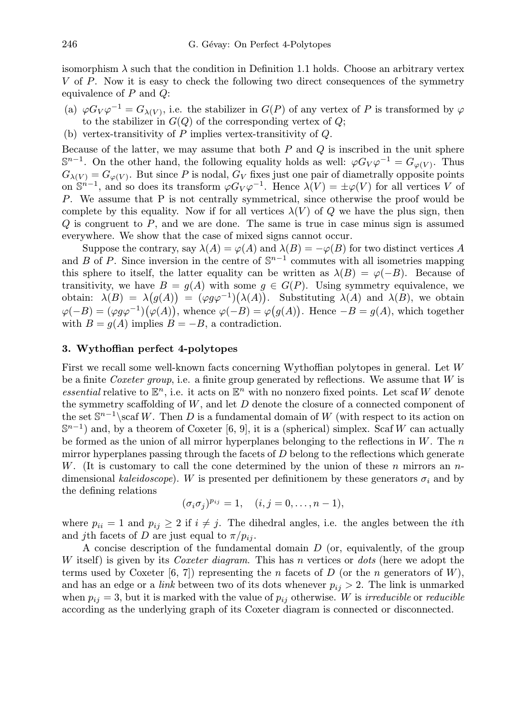isomorphism  $\lambda$  such that the condition in Definition 1.1 holds. Choose an arbitrary vertex V of P. Now it is easy to check the following two direct consequences of the symmetry equivalence of  $P$  and  $Q$ :

- (a)  $\varphi G_V \varphi^{-1} = G_{\lambda(V)}$ , i.e. the stabilizer in  $G(P)$  of any vertex of P is transformed by  $\varphi$ to the stabilizer in  $G(Q)$  of the corresponding vertex of  $Q$ ;
- (b) vertex-transitivity of  $P$  implies vertex-transitivity of  $Q$ .

Because of the latter, we may assume that both  $P$  and  $Q$  is inscribed in the unit sphere  $\mathbb{S}^{n-1}$ . On the other hand, the following equality holds as well:  $\varphi G_V \varphi^{-1} = G_{\varphi(V)}$ . Thus  $G_{\lambda(V)} = G_{\varphi(V)}$ . But since P is nodal,  $G_V$  fixes just one pair of diametrally opposite points on  $S^{n-1}$ , and so does its transform  $\varphi G_V \varphi^{-1}$ . Hence  $\lambda(V) = \pm \varphi(V)$  for all vertices V of P. We assume that P is not centrally symmetrical, since otherwise the proof would be complete by this equality. Now if for all vertices  $\lambda(V)$  of Q we have the plus sign, then  $Q$  is congruent to  $P$ , and we are done. The same is true in case minus sign is assumed everywhere. We show that the case of mixed signs cannot occur.

Suppose the contrary, say  $\lambda(A) = \varphi(A)$  and  $\lambda(B) = -\varphi(B)$  for two distinct vertices A and B of P. Since inversion in the centre of  $\mathbb{S}^{n-1}$  commutes with all isometries mapping this sphere to itself, the latter equality can be written as  $\lambda(B) = \varphi(-B)$ . Because of transitivity, we have  $B = g(A)$  with some  $g \in G(P)$ . Using symmetry equivalence, we obtain:  $\lambda(B) = \lambda(g(A)) = (\varphi g \varphi^{-1})(\lambda(A)).$  Substituting  $\lambda(A)$  and  $\lambda(B)$ , we obtain  $\varphi(-B) = (\varphi g \varphi^{-1})(\varphi(A)),$  whence  $\varphi(-B) = \varphi(g(A)).$  Hence  $-B = g(A),$  which together with  $B = g(A)$  implies  $B = -B$ , a contradiction.

## 3. Wythoffian perfect 4-polytopes

First we recall some well-known facts concerning Wythoffian polytopes in general. Let W be a finite *Coxeter group*, i.e. a finite group generated by reflections. We assume that W is *essential* relative to  $\mathbb{E}^n$ , i.e. it acts on  $\mathbb{E}^n$  with no nonzero fixed points. Let scaf W denote the symmetry scaffolding of  $W$ , and let  $D$  denote the closure of a connected component of the set  $\mathbb{S}^{n-1}$ \scaf W. Then D is a fundamental domain of W (with respect to its action on  $\mathbb{S}^{n-1}$ ) and, by a theorem of Coxeter [6, 9], it is a (spherical) simplex. Scaf W can actually be formed as the union of all mirror hyperplanes belonging to the reflections in  $W$ . The n mirror hyperplanes passing through the facets of  $D$  belong to the reflections which generate W. (It is customary to call the cone determined by the union of these n mirrors an  $n$ dimensional *kaleidoscope*). W is presented per definitionem by these generators  $\sigma_i$  and by the defining relations

$$
(\sigma_i \sigma_j)^{p_{ij}} = 1, \quad (i, j = 0, \dots, n-1),
$$

where  $p_{ii} = 1$  and  $p_{ii} \geq 2$  if  $i \neq j$ . The dihedral angles, i.e. the angles between the *i*th and jth facets of D are just equal to  $\pi/p_{ij}$ .

A concise description of the fundamental domain  $D$  (or, equivalently, of the group W itself) is given by its *Coxeter diagram*. This has n vertices or *dots* (here we adopt the terms used by Coxeter [6, 7]) representing the *n* facets of D (or the *n* generators of W), and has an edge or a *link* between two of its dots whenever  $p_{ij} > 2$ . The link is unmarked when  $p_{ij} = 3$ , but it is marked with the value of  $p_{ij}$  otherwise. W is *irreducible* or *reducible* according as the underlying graph of its Coxeter diagram is connected or disconnected.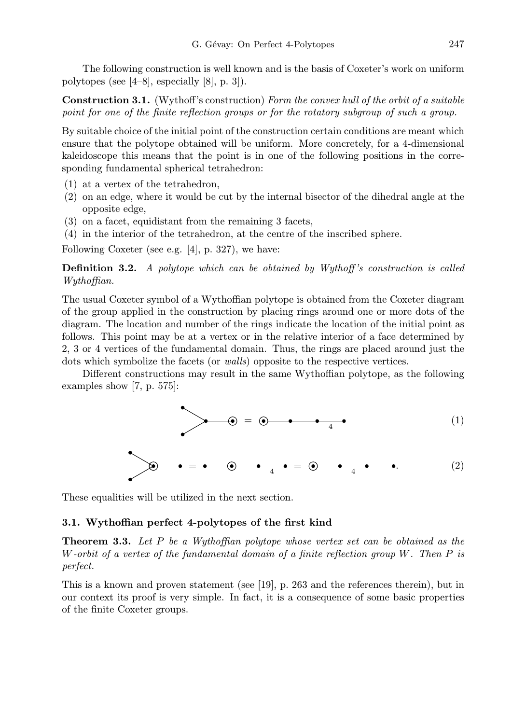The following construction is well known and is the basis of Coxeter's work on uniform polytopes (see [4–8], especially [8], p. 3]).

Construction 3.1. (Wythoff's construction) *Form the convex hull of the orbit of a suitable point for one of the finite reflection groups or for the rotatory subgroup of such a group.*

By suitable choice of the initial point of the construction certain conditions are meant which ensure that the polytope obtained will be uniform. More concretely, for a 4-dimensional kaleidoscope this means that the point is in one of the following positions in the corresponding fundamental spherical tetrahedron:

- (1) at a vertex of the tetrahedron,
- (2) on an edge, where it would be cut by the internal bisector of the dihedral angle at the opposite edge,
- (3) on a facet, equidistant from the remaining 3 facets,
- (4) in the interior of the tetrahedron, at the centre of the inscribed sphere.

Following Coxeter (see e.g. [4], p. 327), we have:

Definition 3.2. *A polytope which can be obtained by Wythoff 's construction is called Wythoffian.*

The usual Coxeter symbol of a Wythoffian polytope is obtained from the Coxeter diagram of the group applied in the construction by placing rings around one or more dots of the diagram. The location and number of the rings indicate the location of the initial point as follows. This point may be at a vertex or in the relative interior of a face determined by 2, 3 or 4 vertices of the fundamental domain. Thus, the rings are placed around just the dots which symbolize the facets (or *walls*) opposite to the respective vertices.

Different constructions may result in the same Wythoffian polytope, as the following examples show [7, p. 575]:

<sup>=</sup> <sup>4</sup> (1)

<sup>=</sup> <sup>4</sup> <sup>=</sup> <sup>4</sup> . (2)

These equalities will be utilized in the next section.

## 3.1. Wythoffian perfect 4-polytopes of the first kind

Theorem 3.3. *Let* P *be a Wythoffian polytope whose vertex set can be obtained as the* W*-orbit of a vertex of the fundamental domain of a finite reflection group* W*. Then* P *is perfect.*

This is a known and proven statement (see [19], p. 263 and the references therein), but in our context its proof is very simple. In fact, it is a consequence of some basic properties of the finite Coxeter groups.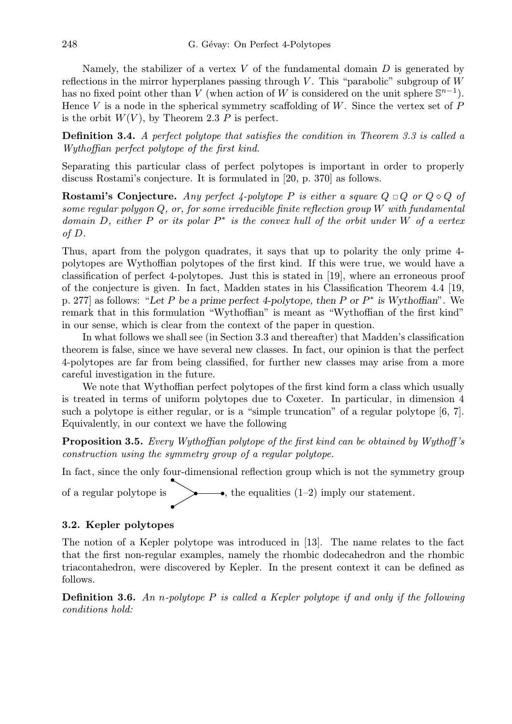Namely, the stabilizer of a vertex  $V$  of the fundamental domain  $D$  is generated by reflections in the mirror hyperplanes passing through V. This "parabolic" subgroup of  $W$ has no fixed point other than V (when action of W is considered on the unit sphere  $\mathbb{S}^{n-1}$ ). Hence V is a node in the spherical symmetry scaffolding of  $W$ . Since the vertex set of  $P$ is the orbit  $W(V)$ , by Theorem 2.3 P is perfect.

Definition 3.4. *A perfect polytope that satisfies the condition in Theorem 3.3 is called a Wythoffian perfect polytope of the first kind.*

Separating this particular class of perfect polytopes is important in order to properly discuss Rostami's conjecture. It is formulated in [20, p. 370] as follows.

**Rostami's Conjecture.** Any perfect 4-polytope P is either a square  $Q \Box Q$  or  $Q \diamond Q$  of *some regular polygon* Q*, or, for some irreducible finite reflection group* W *with fundamental domain* D*, either* P *or its polar* P ∗ *is the convex hull of the orbit under* W *of a vertex of* D*.*

Thus, apart from the polygon quadrates, it says that up to polarity the only prime 4 polytopes are Wythoffian polytopes of the first kind. If this were true, we would have a classification of perfect 4-polytopes. Just this is stated in [19], where an erroneous proof of the conjecture is given. In fact, Madden states in his Classification Theorem 4.4 [19, p. 277] as follows: "Let P be a prime perfect 4-polytope, then P or  $P^*$  is Wythoffian". We remark that in this formulation "Wythoffian" is meant as "Wythoffian of the first kind" in our sense, which is clear from the context of the paper in question.

In what follows we shall see (in Section 3.3 and thereafter) that Madden's classification theorem is false, since we have several new classes. In fact, our opinion is that the perfect 4-polytopes are far from being classified, for further new classes may arise from a more careful investigation in the future.

We note that Wythoffian perfect polytopes of the first kind form a class which usually is treated in terms of uniform polytopes due to Coxeter. In particular, in dimension 4 such a polytope is either regular, or is a "simple truncation" of a regular polytope [6, 7]. Equivalently, in our context we have the following

Proposition 3.5. *Every Wythoffian polytope of the first kind can be obtained by Wythoff 's construction using the symmetry group of a regular polytope.*

In fact, since the only four-dimensional reflection group which is not the symmetry group

of a regular polytope is  $\longrightarrow$ , the equalities (1–2) imply our statement.

# 3.2. Kepler polytopes

The notion of a Kepler polytope was introduced in [13]. The name relates to the fact that the first non-regular examples, namely the rhombic dodecahedron and the rhombic triacontahedron, were discovered by Kepler. In the present context it can be defined as follows.

Definition 3.6. *An* n*-polytope* P *is called a Kepler polytope if and only if the following conditions hold:*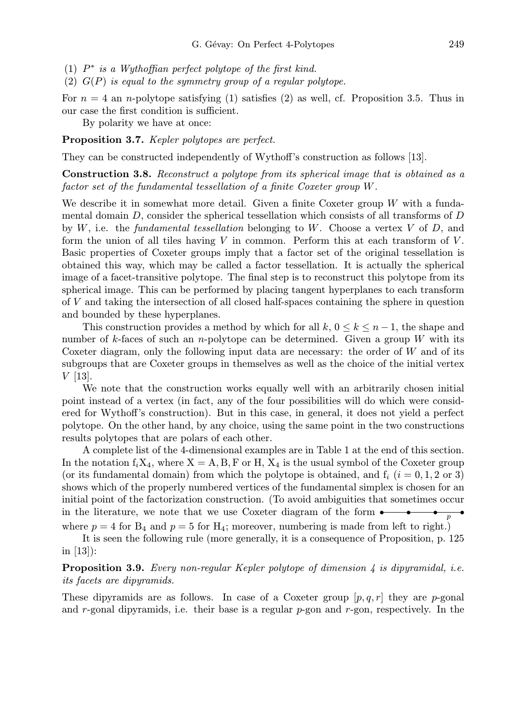- (1) P ∗ *is a Wythoffian perfect polytope of the first kind.*
- (2) G(P) *is equal to the symmetry group of a regular polytope.*

For  $n = 4$  an *n*-polytope satisfying (1) satisfies (2) as well, cf. Proposition 3.5. Thus in our case the first condition is sufficient.

By polarity we have at once:

Proposition 3.7. *Kepler polytopes are perfect.*

They can be constructed independently of Wythoff's construction as follows [13].

Construction 3.8. *Reconstruct a polytope from its spherical image that is obtained as a factor set of the fundamental tessellation of a finite Coxeter group* W*.*

We describe it in somewhat more detail. Given a finite Coxeter group W with a fundamental domain D, consider the spherical tessellation which consists of all transforms of D by W, i.e. the *fundamental tessellation* belonging to W. Choose a vertex V of D, and form the union of all tiles having  $V$  in common. Perform this at each transform of  $V$ . Basic properties of Coxeter groups imply that a factor set of the original tessellation is obtained this way, which may be called a factor tessellation. It is actually the spherical image of a facet-transitive polytope. The final step is to reconstruct this polytope from its spherical image. This can be performed by placing tangent hyperplanes to each transform of V and taking the intersection of all closed half-spaces containing the sphere in question and bounded by these hyperplanes.

This construction provides a method by which for all k,  $0 \le k \le n-1$ , the shape and number of k-faces of such an n-polytope can be determined. Given a group W with its Coxeter diagram, only the following input data are necessary: the order of  $W$  and of its subgroups that are Coxeter groups in themselves as well as the choice of the initial vertex  $V$  [13].

We note that the construction works equally well with an arbitrarily chosen initial point instead of a vertex (in fact, any of the four possibilities will do which were considered for Wythoff's construction). But in this case, in general, it does not yield a perfect polytope. On the other hand, by any choice, using the same point in the two constructions results polytopes that are polars of each other.

A complete list of the 4-dimensional examples are in Table 1 at the end of this section. In the notation  $f_iX_4$ , where  $X = A, B, F$  or H,  $X_4$  is the usual symbol of the Coxeter group (or its fundamental domain) from which the polytope is obtained, and  $f_i$  ( $i = 0, 1, 2$  or 3) shows which of the properly numbered vertices of the fundamental simplex is chosen for an initial point of the factorization construction. (To avoid ambiguities that sometimes occur in the literature, we note that we use Coxeter diagram of the form  $\bullet$ where  $p = 4$  for  $B_4$  and  $p = 5$  for  $H_4$ ; moreover, numbering is made from left to right.)

It is seen the following rule (more generally, it is a consequence of Proposition, p. 125 in [13]):

# Proposition 3.9. *Every non-regular Kepler polytope of dimension 4 is dipyramidal, i.e. its facets are dipyramids.*

These dipyramids are as follows. In case of a Coxeter group  $[p, q, r]$  they are p-gonal and r-gonal dipyramids, i.e. their base is a regular  $p$ -gon and  $r$ -gon, respectively. In the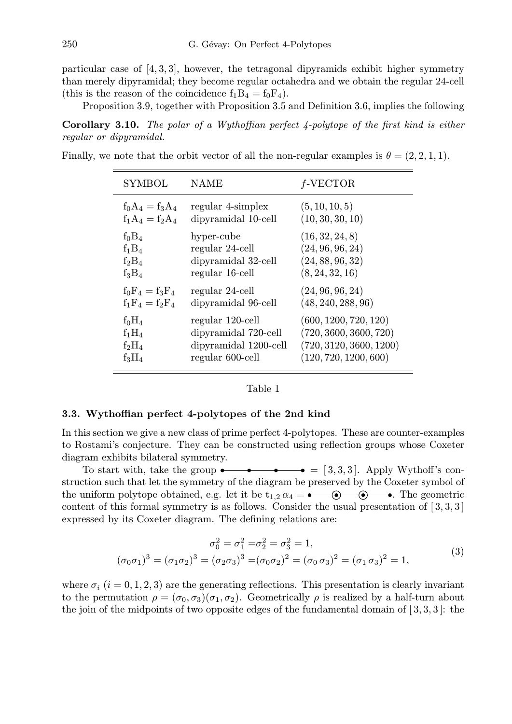particular case of  $[4, 3, 3]$ , however, the tetragonal dipyramids exhibit higher symmetry than merely dipyramidal; they become regular octahedra and we obtain the regular 24-cell (this is the reason of the coincidence  $f_1B_4 = f_0F_4$ ).

Proposition 3.9, together with Proposition 3.5 and Definition 3.6, implies the following

Corollary 3.10. *The polar of a Wythoffian perfect 4-polytope of the first kind is either regular or dipyramidal.*

Finally, we note that the orbit vector of all the non-regular examples is  $\theta = (2, 2, 1, 1)$ .

| <b>SYMBOL</b>     | NAME                  | $f$ -VECTOR             |
|-------------------|-----------------------|-------------------------|
| $f_0A_4 = f_3A_4$ | regular 4-simplex     | (5, 10, 10, 5)          |
| $f_1A_4 = f_2A_4$ | dipyramidal 10-cell   | (10, 30, 30, 10)        |
| $f_0B_4$          | hyper-cube            | (16, 32, 24, 8)         |
| $f_1B_4$          | regular 24-cell       | (24, 96, 96, 24)        |
| $f_2B_4$          | dipyramidal 32-cell   | (24, 88, 96, 32)        |
| $f_3B_4$          | regular 16-cell       | (8, 24, 32, 16)         |
| $f_0F_4 = f_3F_4$ | regular 24-cell       | (24, 96, 96, 24)        |
| $f_1F_4 = f_2F_4$ | dipyramidal 96-cell   | (48, 240, 288, 96)      |
| $f_0H_4$          | regular 120-cell      | (600, 1200, 720, 120)   |
| $f_1H_4$          | dipyramidal 720-cell  | (720, 3600, 3600, 720)  |
| $f_2H_4$          | dipyramidal 1200-cell | (720, 3120, 3600, 1200) |
| $f_3H_4$          | regular 600-cell      | (120, 720, 1200, 600)   |

#### Table 1

#### 3.3. Wythoffian perfect 4-polytopes of the 2nd kind

In this section we give a new class of prime perfect 4-polytopes. These are counter-examples to Rostami's conjecture. They can be constructed using reflection groups whose Coxeter diagram exhibits bilateral symmetry.

To start with, take the group  $\bullet \bullet \bullet = [3,3,3]$ . Apply Wythoff's construction such that let the symmetry of the diagram be preserved by the Coxeter symbol of the uniform polytope obtained, e.g. let it be  $t_{1,2} \alpha_4 = \bullet$  . The geometric content of this formal symmetry is as follows. Consider the usual presentation of  $[3,3,3]$ expressed by its Coxeter diagram. The defining relations are:

$$
\sigma_0^2 = \sigma_1^2 = \sigma_2^2 = \sigma_3^2 = 1,
$$
  
\n
$$
(\sigma_0 \sigma_1)^3 = (\sigma_1 \sigma_2)^3 = (\sigma_2 \sigma_3)^3 = (\sigma_0 \sigma_2)^2 = (\sigma_0 \sigma_3)^2 = (\sigma_1 \sigma_3)^2 = 1,
$$
\n(3)

where  $\sigma_i$  (i = 0, 1, 2, 3) are the generating reflections. This presentation is clearly invariant to the permutation  $\rho = (\sigma_0, \sigma_3)(\sigma_1, \sigma_2)$ . Geometrically  $\rho$  is realized by a half-turn about the join of the midpoints of two opposite edges of the fundamental domain of  $[3,3,3]$ : the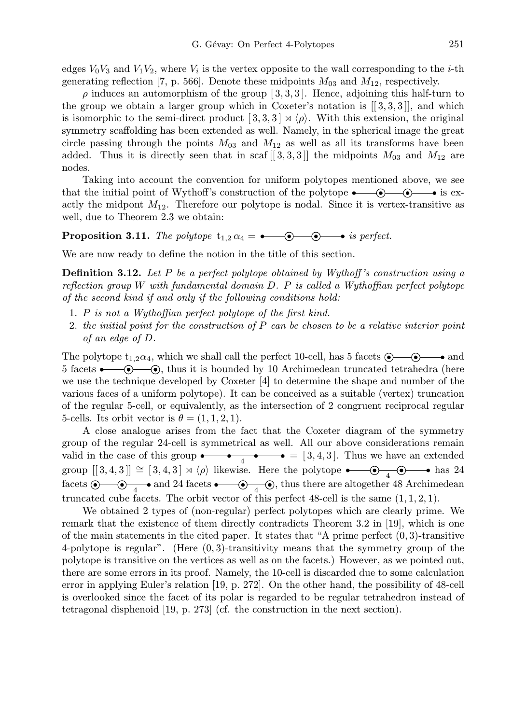edges  $V_0V_3$  and  $V_1V_2$ , where  $V_i$  is the vertex opposite to the wall corresponding to the *i*-th generating reflection [7, p. 566]. Denote these midpoints  $M_{03}$  and  $M_{12}$ , respectively.

 $\rho$  induces an automorphism of the group [3, 3, 3]. Hence, adjoining this half-turn to the group we obtain a larger group which in Coxeter's notation is  $[[3,3,3]],$  and which is isomorphic to the semi-direct product  $[3,3,3] \rtimes \langle \rho \rangle$ . With this extension, the original symmetry scaffolding has been extended as well. Namely, in the spherical image the great circle passing through the points  $M_{03}$  and  $M_{12}$  as well as all its transforms have been added. Thus it is directly seen that in scaf [[3, 3, 3]] the midpoints  $M_{03}$  and  $M_{12}$  are nodes.

Taking into account the convention for uniform polytopes mentioned above, we see that the initial point of Wythoff's construction of the polytope  $\bullet$   $\bullet$   $\bullet$  is exactly the midpont  $M_{12}$ . Therefore our polytope is nodal. Since it is vertex-transitive as well, due to Theorem 2.3 we obtain:

**Proposition 3.11.** *The polytope*  $t_{1,2} \alpha_4 = \bullet$   $\bullet$   $\bullet$  *is perfect.* 

We are now ready to define the notion in the title of this section.

Definition 3.12. *Let* P *be a perfect polytope obtained by Wythoff 's construction using a reflection group* W *with fundamental domain* D*.* P *is called a Wythoffian perfect polytope of the second kind if and only if the following conditions hold:*

- 1. P *is not a Wythoffian perfect polytope of the first kind.*
- 2. *the initial point for the construction of* P *can be chosen to be a relative interior point of an edge of* D*.*

The polytope  $t_{1,2}\alpha_4$ , which we shall call the perfect 10-cell, has 5 facets  $\odot$   $\odot$   $\rightarrow$  and 5 facets  $\bullet$   $\bullet$   $\bullet$ , thus it is bounded by 10 Archimedean truncated tetrahedra (here we use the technique developed by Coxeter [4] to determine the shape and number of the various faces of a uniform polytope). It can be conceived as a suitable (vertex) truncation of the regular 5-cell, or equivalently, as the intersection of 2 congruent reciprocal regular 5-cells. Its orbit vector is  $\theta = (1, 1, 2, 1)$ .

A close analogue arises from the fact that the Coxeter diagram of the symmetry group of the regular 24-cell is symmetrical as well. All our above considerations remain valid in the case of this group  $\bullet \bullet \bullet \bullet$   $\bullet = [3, 4, 3]$ . Thus we have an extended group  $[[3,4,3]] \cong [3,4,3] \rtimes \langle \rho \rangle$  likewise. Here the polytope  $\bullet$   $\bullet$   $\bullet$   $\bullet$  has 24 facets  $\circledcirc$   $\bullet$   $\bullet$  and 24 facets  $\bullet$   $\bullet$   $\bullet$   $\bullet$ , thus there are altogether 48 Archimedean truncated cube facets. The orbit vector of this perfect 48-cell is the same  $(1, 1, 2, 1)$ .

We obtained 2 types of (non-regular) perfect polytopes which are clearly prime. We remark that the existence of them directly contradicts Theorem 3.2 in [19], which is one of the main statements in the cited paper. It states that "A prime perfect  $(0, 3)$ -transitive 4-polytope is regular". (Here (0, 3)-transitivity means that the symmetry group of the polytope is transitive on the vertices as well as on the facets.) However, as we pointed out, there are some errors in its proof. Namely, the 10-cell is discarded due to some calculation error in applying Euler's relation [19, p. 272]. On the other hand, the possibility of 48-cell is overlooked since the facet of its polar is regarded to be regular tetrahedron instead of tetragonal disphenoid [19, p. 273] (cf. the construction in the next section).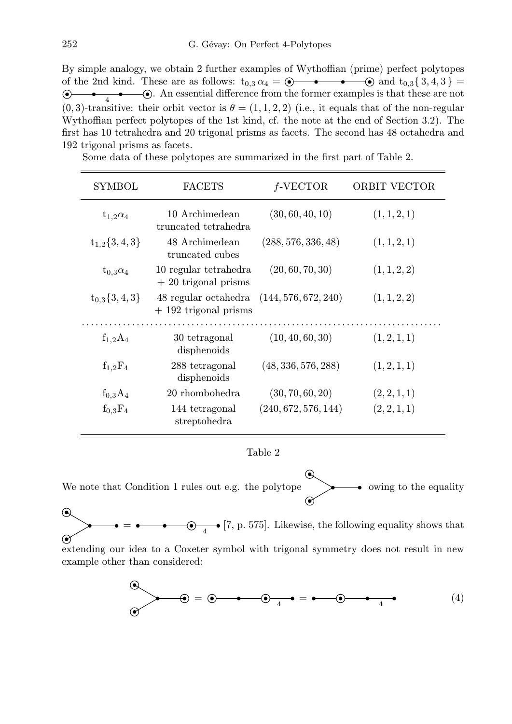By simple analogy, we obtain 2 further examples of Wythoffian (prime) perfect polytopes of the 2nd kind. These are as follows:  $t_{0,3} \alpha_4 = \circledcirc \bullet \bullet \bullet \circledcirc$  and  $t_{0,3} \{3,4,3\} =$  $\bullet$   $\bullet$   $\bullet$   $\bullet$   $\bullet$  An essential difference from the former examples is that these are not  $(0, 3)$ -transitive: their orbit vector is  $\theta = (1, 1, 2, 2)$  (i.e., it equals that of the non-regular Wythoffian perfect polytopes of the 1st kind, cf. the note at the end of Section 3.2). The first has 10 tetrahedra and 20 trigonal prisms as facets. The second has 48 octahedra and 192 trigonal prisms as facets.

| <b>SYMBOL</b>      | <b>FACETS</b>                                  | $f$ -VECTOR          | <b>ORBIT VECTOR</b> |
|--------------------|------------------------------------------------|----------------------|---------------------|
| $t_{1,2}\alpha_4$  | 10 Archimedean<br>truncated tetrahedra         | (30, 60, 40, 10)     | (1, 1, 2, 1)        |
| $t_{1,2}\{3,4,3\}$ | 48 Archimedean<br>truncated cubes              | (288, 576, 336, 48)  | (1, 1, 2, 1)        |
| $t_{0,3}\alpha_4$  | 10 regular tetrahedra<br>$+20$ trigonal prisms | (20, 60, 70, 30)     | (1, 1, 2, 2)        |
| $t_{0,3}\{3,4,3\}$ | 48 regular octahedra<br>$+192$ trigonal prisms | (144, 576, 672, 240) | (1, 1, 2, 2)        |
| $f_{1,2}A_4$       | 30 tetragonal<br>disphenoids                   | (10, 40, 60, 30)     | (1, 2, 1, 1)        |
| $f_{1,2}F_4$       | 288 tetragonal<br>disphenoids                  | (48, 336, 576, 288)  | (1, 2, 1, 1)        |
| $f_{0,3}A_4$       | 20 rhombohedra                                 | (30, 70, 60, 20)     | (2, 2, 1, 1)        |
| $f_{0,3}F_4$       | 144 tetragonal<br>streptohedra                 | (240, 672, 576, 144) | (2, 2, 1, 1)        |

Some data of these polytopes are summarized in the first part of Table 2.

Table 2

⋒ We note that Condition 1 rules out e.g. the polytope  $\rightarrow$  owing to the equality

 $\odot$  $=$   $\bullet$   $\bullet$   $\bullet$   $\bullet$   $\bullet$  [7, p. 575]. Likewise, the following equality shows that  $\odot$ 

extending our idea to a Coxeter symbol with trigonal symmetry does not result in new example other than considered:

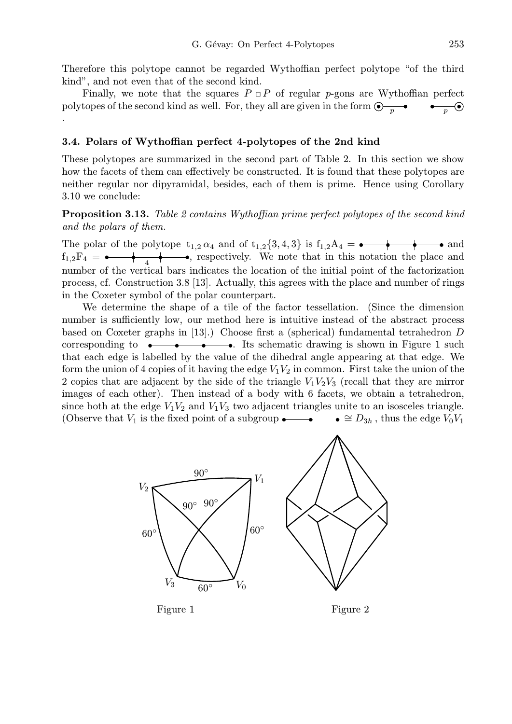Therefore this polytope cannot be regarded Wythoffian perfect polytope "of the third kind", and not even that of the second kind.

Finally, we note that the squares  $P \Box P$  of regular p-gons are Wythoffian perfect polytopes of the second kind as well. For, they all are given in the form  $\bigcirc \rightarrow \bullet$ .

# 3.4. Polars of Wythoffian perfect 4-polytopes of the 2nd kind

These polytopes are summarized in the second part of Table 2. In this section we show how the facets of them can effectively be constructed. It is found that these polytopes are neither regular nor dipyramidal, besides, each of them is prime. Hence using Corollary 3.10 we conclude:

Proposition 3.13. *Table 2 contains Wythoffian prime perfect polytopes of the second kind and the polars of them.*

The polar of the polytope  $t_{1,2} \alpha_4$  and of  $t_{1,2} \{3, 4, 3\}$  is  $f_{1,2}A_4 = \bullet \bullet \bullet$  and  $f_{1,2}F_4 = \leftarrow$  +  $\leftarrow$  , respectively. We note that in this notation the place and number of the vertical bars indicates the location of the initial point of the factorization process, cf. Construction 3.8 [13]. Actually, this agrees with the place and number of rings in the Coxeter symbol of the polar counterpart.

We determine the shape of a tile of the factor tessellation. (Since the dimension number is sufficiently low, our method here is intuitive instead of the abstract process based on Coxeter graphs in [13].) Choose first a (spherical) fundamental tetrahedron D corresponding to  $\bullet \bullet \bullet \bullet \bullet$ . Its schematic drawing is shown in Figure 1 such that each edge is labelled by the value of the dihedral angle appearing at that edge. We form the union of 4 copies of it having the edge  $V_1V_2$  in common. First take the union of the 2 copies that are adjacent by the side of the triangle  $V_1V_2V_3$  (recall that they are mirror images of each other). Then instead of a body with 6 facets, we obtain a tetrahedron, since both at the edge  $V_1V_2$  and  $V_1V_3$  two adjacent triangles unite to an isosceles triangle. (Observe that  $V_1$  is the fixed point of a subgroup ←  $\bullet \cong D_{3h}$ , thus the edge  $V_0V_1$ 

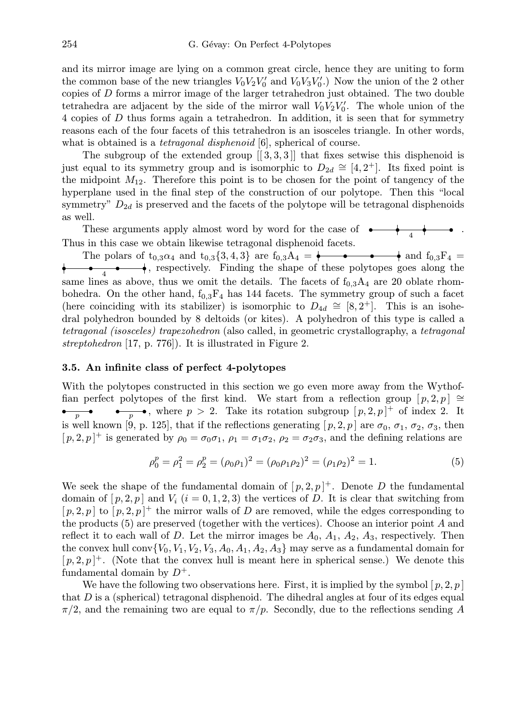and its mirror image are lying on a common great circle, hence they are uniting to form the common base of the new triangles  $V_0 V_2 V'_0$  and  $V_0 V_3 V'_0$ .) Now the union of the 2 other copies of D forms a mirror image of the larger tetrahedron just obtained. The two double tetrahedra are adjacent by the side of the mirror wall  $V_0 V_2 V_0'$ . The whole union of the 4 copies of D thus forms again a tetrahedron. In addition, it is seen that for symmetry reasons each of the four facets of this tetrahedron is an isosceles triangle. In other words, what is obtained is a *tetragonal disphenoid* [6], spherical of course.

The subgroup of the extended group  $[[3,3,3]]$  that fixes setwise this disphenoid is just equal to its symmetry group and is isomorphic to  $D_{2d} \cong [4, 2^+]$ . Its fixed point is the midpoint  $M_{12}$ . Therefore this point is to be chosen for the point of tangency of the hyperplane used in the final step of the construction of our polytope. Then this "local symmetry"  $D_{2d}$  is preserved and the facets of the polytope will be tetragonal disphenoids as well.

These arguments apply almost word by word for the case of  $\longrightarrow$ . Thus in this case we obtain likewise tetragonal disphenoid facets.

The polars of  $t_{0,3}\alpha_4$  and  $t_{0,3}{3,4,3}$  are  $t_{0,3}A_4 = \begin{array}{ccc} \bullet & \bullet & \bullet \end{array}$  and  $f_{0,3}F_4 =$  $\longleftrightarrow$ , respectively. Finding the shape of these polytopes goes along the same lines as above, thus we omit the details. The facets of  $f_{0,3}A_4$  are 20 oblate rhombohedra. On the other hand,  $f_{0,3}F_4$  has 144 facets. The symmetry group of such a facet (here coinciding with its stabilizer) is isomorphic to  $D_{4d} \cong [8, 2^+]$ . This is an isohedral polyhedron bounded by 8 deltoids (or kites). A polyhedron of this type is called a *tetragonal (isosceles) trapezohedron* (also called, in geometric crystallography, a *tetragonal streptohedron* [17, p. 776]). It is illustrated in Figure 2.

## 3.5. An infinite class of perfect 4-polytopes

With the polytopes constructed in this section we go even more away from the Wythoffian perfect polytopes of the first kind. We start from a reflection group  $[p, 2, p] \cong$  $\bullet \bullet \bullet \bullet$ , where  $p > 2$ . Take its rotation subgroup  $[p, 2, p]^+$  of index 2. It is well known [9, p. 125], that if the reflections generating  $[p, 2, p]$  are  $\sigma_0$ ,  $\sigma_1$ ,  $\sigma_2$ ,  $\sigma_3$ , then  $[p, 2, p]^+$  is generated by  $\rho_0 = \sigma_0 \sigma_1$ ,  $\rho_1 = \sigma_1 \sigma_2$ ,  $\rho_2 = \sigma_2 \sigma_3$ , and the defining relations are

$$
\rho_0^p = \rho_1^2 = \rho_2^p = (\rho_0 \rho_1)^2 = (\rho_0 \rho_1 \rho_2)^2 = (\rho_1 \rho_2)^2 = 1.
$$
\n(5)

We seek the shape of the fundamental domain of  $[p, 2, p]$ <sup>+</sup>. Denote D the fundamental domain of  $[p, 2, p]$  and  $V_i$   $(i = 0, 1, 2, 3)$  the vertices of D. It is clear that switching from  $[p, 2, p]$  to  $[p, 2, p]$ <sup>+</sup> the mirror walls of D are removed, while the edges corresponding to the products (5) are preserved (together with the vertices). Choose an interior point A and reflect it to each wall of D. Let the mirror images be  $A_0$ ,  $A_1$ ,  $A_2$ ,  $A_3$ , respectively. Then the convex hull conv $\{V_0, V_1, V_2, V_3, A_0, A_1, A_2, A_3\}$  may serve as a fundamental domain for  $[p, 2, p]^+$ . (Note that the convex hull is meant here in spherical sense.) We denote this fundamental domain by  $D^+$ .

We have the following two observations here. First, it is implied by the symbol  $[p, 2, p]$ that  $D$  is a (spherical) tetragonal disphenoid. The dihedral angles at four of its edges equal  $\pi/2$ , and the remaining two are equal to  $\pi/p$ . Secondly, due to the reflections sending A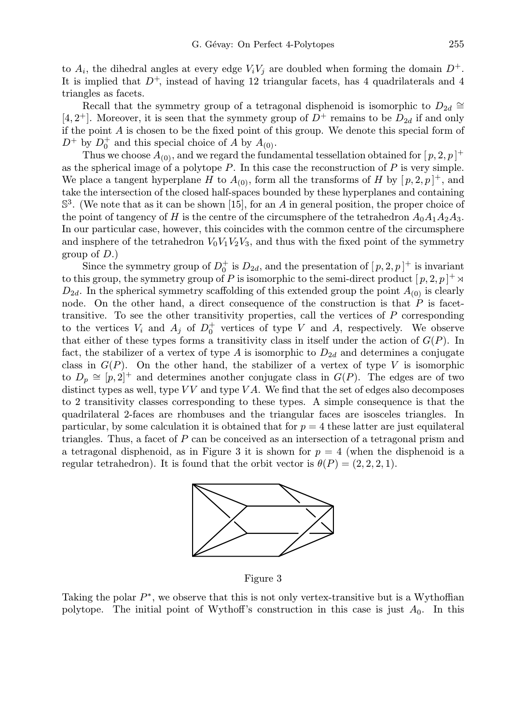to  $A_i$ , the dihedral angles at every edge  $V_iV_j$  are doubled when forming the domain  $D^+$ . It is implied that  $D^+$ , instead of having 12 triangular facets, has 4 quadrilaterals and 4 triangles as facets.

Recall that the symmetry group of a tetragonal disphenoid is isomorphic to  $D_{2d} \cong$ [4, 2<sup>+</sup>]. Moreover, it is seen that the symmety group of  $D^+$  remains to be  $D_{2d}$  if and only if the point  $A$  is chosen to be the fixed point of this group. We denote this special form of  $D^+$  by  $D_0^+$  $_{0}^{+}$  and this special choice of A by  $A_{(0)}$ .

Thus we choose  $A_{(0)}$ , and we regard the fundamental tessellation obtained for  $[p, 2, p]$ <sup>+</sup> as the spherical image of a polytope  $P$ . In this case the reconstruction of  $P$  is very simple. We place a tangent hyperplane H to  $A_{(0)}$ , form all the transforms of H by  $[p, 2, p]^+$ , and take the intersection of the closed half-spaces bounded by these hyperplanes and containing  $\mathbb{S}^3$ . (We note that as it can be shown [15], for an A in general position, the proper choice of the point of tangency of H is the centre of the circumsphere of the tetrahedron  $A_0A_1A_2A_3$ . In our particular case, however, this coincides with the common centre of the circumsphere and insphere of the tetrahedron  $V_0V_1V_2V_3$ , and thus with the fixed point of the symmetry group of  $D$ .)

Since the symmetry group of  $D_0^+$  $\frac{1}{0}$  is  $D_{2d}$ , and the presentation of  $[p, 2, p]$ <sup>+</sup> is invariant to this group, the symmetry group of P is isomorphic to the semi-direct product  $[p, 2, p]^+ \rtimes$  $D_{2d}$ . In the spherical symmetry scaffolding of this extended group the point  $A_{(0)}$  is clearly node. On the other hand, a direct consequence of the construction is that  $P$  is facettransitive. To see the other transitivity properties, call the vertices of P corresponding to the vertices  $V_i$  and  $A_j$  of  $D_0^+$  $<sub>0</sub><sup>+</sup>$  vertices of type V and A, respectively. We observe</sub> that either of these types forms a transitivity class in itself under the action of  $G(P)$ . In fact, the stabilizer of a vertex of type A is isomorphic to  $D_{2d}$  and determines a conjugate class in  $G(P)$ . On the other hand, the stabilizer of a vertex of type V is isomorphic to  $D_p \cong [p, 2]^+$  and determines another conjugate class in  $G(P)$ . The edges are of two distinct types as well, type  $VV$  and type  $VA$ . We find that the set of edges also decomposes to 2 transitivity classes corresponding to these types. A simple consequence is that the quadrilateral 2-faces are rhombuses and the triangular faces are isosceles triangles. In particular, by some calculation it is obtained that for  $p = 4$  these latter are just equilateral triangles. Thus, a facet of P can be conceived as an intersection of a tetragonal prism and a tetragonal disphenoid, as in Figure 3 it is shown for  $p = 4$  (when the disphenoid is a regular tetrahedron). It is found that the orbit vector is  $\theta(P) = (2, 2, 2, 1)$ .



Figure 3

Taking the polar  $P^*$ , we observe that this is not only vertex-transitive but is a Wythoffian polytope. The initial point of Wythoff's construction in this case is just  $A_0$ . In this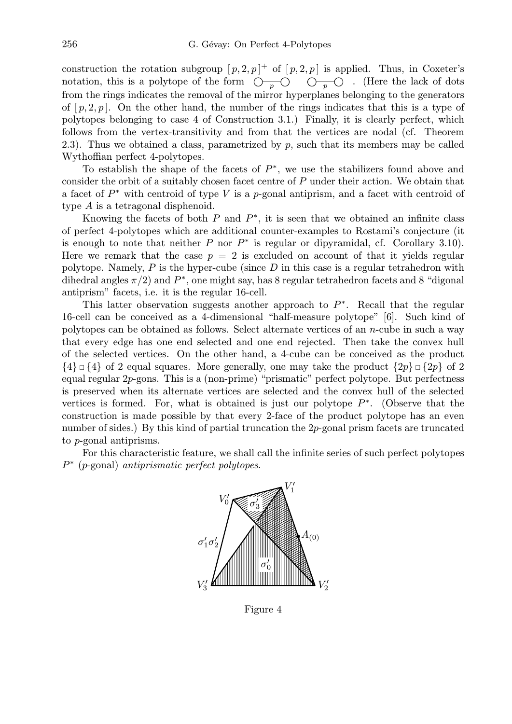construction the rotation subgroup  $[p, 2, p]^+$  of  $[p, 2, p]$  is applied. Thus, in Coxeter's notation, this is a polytope of the form  $\overline{O_{p}O}$   $\overline{O_{p}O}$ . (Here the lack of dots from the rings indicates the removal of the mirror hyperplanes belonging to the generators of  $[p, 2, p]$ . On the other hand, the number of the rings indicates that this is a type of polytopes belonging to case 4 of Construction 3.1.) Finally, it is clearly perfect, which follows from the vertex-transitivity and from that the vertices are nodal (cf. Theorem 2.3). Thus we obtained a class, parametrized by  $p$ , such that its members may be called Wythoffian perfect 4-polytopes.

To establish the shape of the facets of  $P^*$ , we use the stabilizers found above and consider the orbit of a suitably chosen facet centre of P under their action. We obtain that a facet of  $P^*$  with centroid of type V is a p-gonal antiprism, and a facet with centroid of type A is a tetragonal disphenoid.

Knowing the facets of both  $P$  and  $P^*$ , it is seen that we obtained an infinite class of perfect 4-polytopes which are additional counter-examples to Rostami's conjecture (it is enough to note that neither  $P$  nor  $P^*$  is regular or dipyramidal, cf. Corollary 3.10). Here we remark that the case  $p = 2$  is excluded on account of that it yields regular polytope. Namely,  $P$  is the hyper-cube (since  $D$  in this case is a regular tetrahedron with dihedral angles  $\pi/2$  and  $P^*$ , one might say, has 8 regular tetrahedron facets and 8 "digonal" antiprism" facets, i.e. it is the regular 16-cell.

This latter observation suggests another approach to  $P^*$ . Recall that the regular 16-cell can be conceived as a 4-dimensional "half-measure polytope" [6]. Such kind of polytopes can be obtained as follows. Select alternate vertices of an n-cube in such a way that every edge has one end selected and one end rejected. Then take the convex hull of the selected vertices. On the other hand, a 4-cube can be conceived as the product  ${4} \Box {\{4\}}$  of 2 equal squares. More generally, one may take the product  ${2p} \Box {\{2p\}}$  of 2 equal regular 2p-gons. This is a (non-prime) "prismatic" perfect polytope. But perfectness is preserved when its alternate vertices are selected and the convex hull of the selected vertices is formed. For, what is obtained is just our polytope  $P^*$ . (Observe that the construction is made possible by that every 2-face of the product polytope has an even number of sides.) By this kind of partial truncation the 2p-gonal prism facets are truncated to p-gonal antiprisms.

For this characteristic feature, we shall call the infinite series of such perfect polytopes P ∗ (p-gonal) *antiprismatic perfect polytopes*.



Figure 4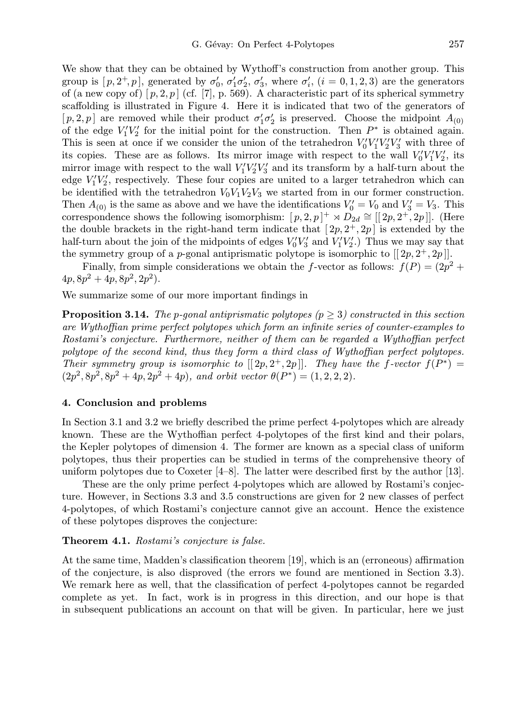We show that they can be obtained by Wythoff's construction from another group. This group is  $[p, 2^+, p]$ , generated by  $\sigma'_0$ ,  $\sigma'_1 \sigma'_2$ ,  $\sigma'_3$ , where  $\sigma'_i$ ,  $(i = 0, 1, 2, 3)$  are the generators of (a new copy of)  $[p, 2, p]$  (cf. [7], p. 569). A characteristic part of its spherical symmetry scaffolding is illustrated in Figure 4. Here it is indicated that two of the generators of [p, 2, p] are removed while their product  $\sigma'_1 \sigma'_2$  is preserved. Choose the midpoint  $A_{(0)}$ of the edge  $V_1'V_2'$  for the initial point for the construction. Then  $P^*$  is obtained again. This is seen at once if we consider the union of the tetrahedron  $V_0'V_1'V_2'V_3'$  with three of its copies. These are as follows. Its mirror image with respect to the wall  $V_0'V_1'V_2'$ , its mirror image with respect to the wall  $V_1'V_2'V_3'$  and its transform by a half-turn about the edge  $V_1'V_2'$ , respectively. These four copies are united to a larger tetrahedron which can be identified with the tetrahedron  $V_0V_1V_2V_3$  we started from in our former construction. Then  $A_{(0)}$  is the same as above and we have the identifications  $V'_0 = V_0$  and  $V'_3 = V_3$ . This correspondence shows the following isomorphism:  $[p, 2, p]^+ \rtimes D_{2d} \cong [[2p, 2^+, 2p]].$  (Here the double brackets in the right-hand term indicate that  $[2p, 2^+, 2p]$  is extended by the half-turn about the join of the midpoints of edges  $V_0'V_3'$  and  $V_1'V_2'$ .) Thus we may say that the symmetry group of a *p*-gonal antiprismatic polytope is isomorphic to  $[[2p, 2^+, 2p]]$ .

Finally, from simple considerations we obtain the f-vector as follows:  $f(P) = (2p^2 +$  $4p, 8p^2 + 4p, 8p^2, 2p^2$ .

We summarize some of our more important findings in

Proposition 3.14. *The* p*-gonal antiprismatic polytopes (*p ≥ 3*) constructed in this section are Wythoffian prime perfect polytopes which form an infinite series of counter-examples to Rostami's conjecture. Furthermore, neither of them can be regarded a Wythoffian perfect polytope of the second kind, thus they form a third class of Wythoffian perfect polytopes. Their symmetry group is isomorphic to*  $[[2p,2^+,2p]]$ *. They have the f-vector*  $f(P^*)$  =  $(2p^2, 8p^2, 8p^2 + 4p, 2p^2 + 4p)$ , and orbit vector  $\theta(P^*) = (1, 2, 2, 2)$ .

## 4. Conclusion and problems

In Section 3.1 and 3.2 we briefly described the prime perfect 4-polytopes which are already known. These are the Wythoffian perfect 4-polytopes of the first kind and their polars, the Kepler polytopes of dimension 4. The former are known as a special class of uniform polytopes, thus their properties can be studied in terms of the comprehensive theory of uniform polytopes due to Coxeter  $[4-8]$ . The latter were described first by the author [13].

These are the only prime perfect 4-polytopes which are allowed by Rostami's conjecture. However, in Sections 3.3 and 3.5 constructions are given for 2 new classes of perfect 4-polytopes, of which Rostami's conjecture cannot give an account. Hence the existence of these polytopes disproves the conjecture:

#### Theorem 4.1. *Rostami's conjecture is false.*

At the same time, Madden's classification theorem [19], which is an (erroneous) affirmation of the conjecture, is also disproved (the errors we found are mentioned in Section 3.3). We remark here as well, that the classification of perfect 4-polytopes cannot be regarded complete as yet. In fact, work is in progress in this direction, and our hope is that in subsequent publications an account on that will be given. In particular, here we just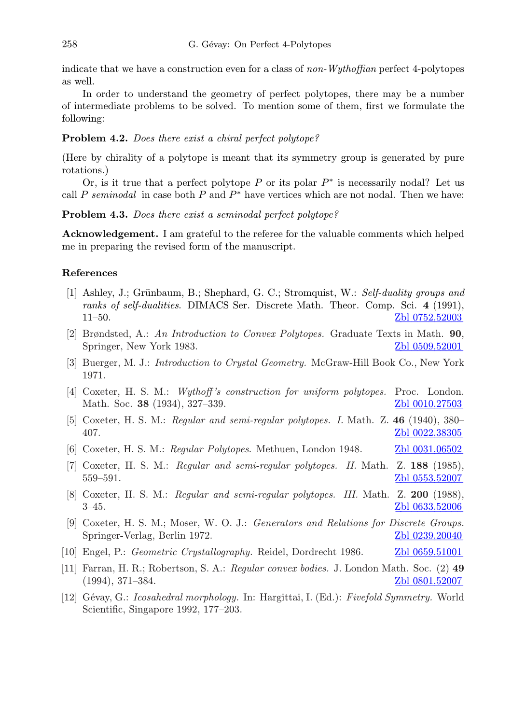indicate that we have a construction even for a class of *non-Wythoffian* perfect 4-polytopes as well.

In order to understand the geometry of perfect polytopes, there may be a number of intermediate problems to be solved. To mention some of them, first we formulate the following:

# Problem 4.2. *Does there exist a chiral perfect polytope?*

(Here by chirality of a polytope is meant that its symmetry group is generated by pure rotations.)

Or, is it true that a perfect polytope  $P$  or its polar  $P^*$  is necessarily nodal? Let us call P seminodal in case both  $P$  and  $P^*$  have vertices which are not nodal. Then we have:

Problem 4.3. *Does there exist a seminodal perfect polytope?*

Acknowledgement. I am grateful to the referee for the valuable comments which helped me in preparing the revised form of the manuscript.

## References

- [1] Ashley, J.; Grünbaum, B.; Shephard, G. C.; Stromquist, W.: *Self-duality groups and ranks of self-dualities*. DIMACS Ser. Discrete Math. Theor. Comp. Sci. 4 (1991), 11–50. [Zbl 0752.52003](http://www.emis.de/MATH-item?0752.52003)
- [2] Brøndsted, A.: *An Introduction to Convex Polytopes.* Graduate Texts in Math. 90, Springer, New York 1983. [Zbl 0509.52001](http://www.emis.de/MATH-item?0509.52001)
- [3] Buerger, M. J.: *Introduction to Crystal Geometry.* McGraw-Hill Book Co., New York 1971.
- [4] Coxeter, H. S. M.: *Wythoff 's construction for uniform polytopes.* Proc. London. Math. Soc. 38 (1934), 327–339. [Zbl 0010.27503](http://www.emis.de/MATH-item?0010.27503)
- [5] Coxeter, H. S. M.: *Regular and semi-regular polytopes. I.* Math. Z. 46 (1940), 380– 407. [Zbl 0022.38305](http://www.emis.de/MATH-item?0022.38305) −−−−−−−−−−−−
- [6] Coxeter, H. S. M.: *Regular Polytopes*. Methuen, London 1948. [Zbl 0031.06502](http://www.emis.de/MATH-item?0031.06502)
- [7] Coxeter, H. S. M.: *Regular and semi-regular polytopes. II.* Math. Z. 188 (1985), 559–591. **Zbl** 0553.52007
- [8] Coxeter, H. S. M.: *Regular and semi-regular polytopes. III.* Math. Z. 200 (1988), 3–45. [Zbl 0633.52006](http://www.emis.de/MATH-item?0633.52006)
- [9] Coxeter, H. S. M.; Moser, W. O. J.: *Generators and Relations for Discrete Groups.* Springer-Verlag, Berlin 1972. [Zbl 0239.20040](http://www.emis.de/MATH-item?0239.20040)
- [10] Engel, P.: *Geometric Crystallography.* Reidel, Dordrecht 1986. [Zbl 0659.51001](http://www.emis.de/MATH-item?0659.51001)
- [11] Farran, H. R.; Robertson, S. A.: *Regular convex bodies.* J. London Math. Soc. (2) 49  $(1994)$ , 371–384.  $Z<sup>1</sup>$   $Z<sup>1</sup>$   $Q<sup>1</sup>$   $Q<sup>1</sup>$   $Q<sup>1</sup>$   $Q<sup>1</sup>$   $Q<sup>1</sup>$   $Q<sup>1</sup>$   $Q<sup>1</sup>$   $Q<sup>1</sup>$   $Q<sup>1</sup>$   $Q<sup>1</sup>$   $Q<sup>1</sup>$   $Q<sup>1</sup>$   $Q<sup>1</sup>$   $Q<sup>1</sup>$   $Q<sup>1</sup>$   $Q<sup>1</sup>$   $Q$
- [12] G´evay, G.: *Icosahedral morphology.* In: Hargittai, I. (Ed.): *Fivefold Symmetry.* World Scientific, Singapore 1992, 177–203.